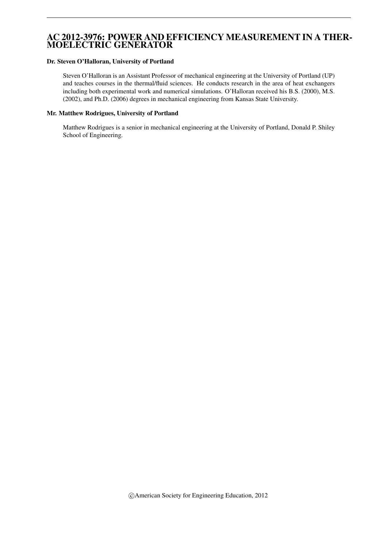# AC 2012-3976: POWER AND EFFICIENCY MEASUREMENT IN A THER-MOELECTRIC GENERATOR

#### Dr. Steven O'Halloran, University of Portland

Steven O'Halloran is an Assistant Professor of mechanical engineering at the University of Portland (UP) and teaches courses in the thermal/fluid sciences. He conducts research in the area of heat exchangers including both experimental work and numerical simulations. O'Halloran received his B.S. (2000), M.S. (2002), and Ph.D. (2006) degrees in mechanical engineering from Kansas State University.

#### Mr. Matthew Rodrigues, University of Portland

Matthew Rodrigues is a senior in mechanical engineering at the University of Portland, Donald P. Shiley School of Engineering.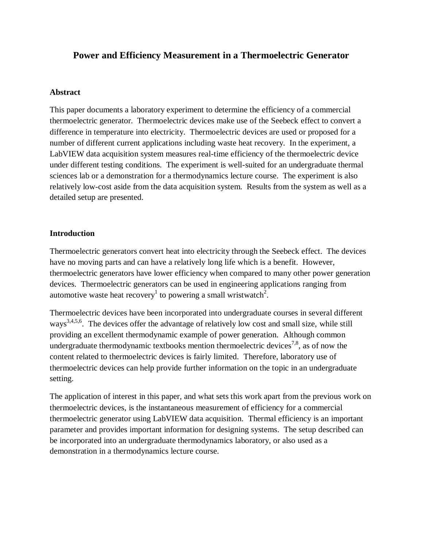# **Power and Efficiency Measurement in a Thermoelectric Generator**

#### **Abstract**

This paper documents a laboratory experiment to determine the efficiency of a commercial thermoelectric generator. Thermoelectric devices make use of the Seebeck effect to convert a difference in temperature into electricity. Thermoelectric devices are used or proposed for a number of different current applications including waste heat recovery. In the experiment, a LabVIEW data acquisition system measures real-time efficiency of the thermoelectric device under different testing conditions. The experiment is well-suited for an undergraduate thermal sciences lab or a demonstration for a thermodynamics lecture course. The experiment is also relatively low-cost aside from the data acquisition system. Results from the system as well as a detailed setup are presented.

## **Introduction**

Thermoelectric generators convert heat into electricity through the Seebeck effect. The devices have no moving parts and can have a relatively long life which is a benefit. However, thermoelectric generators have lower efficiency when compared to many other power generation devices. Thermoelectric generators can be used in engineering applications ranging from automotive waste heat recovery<sup>1</sup> to powering a small wristwatch<sup>2</sup>.

Thermoelectric devices have been incorporated into undergraduate courses in several different ways<sup>3,4,5,6</sup>. The devices offer the advantage of relatively low cost and small size, while still providing an excellent thermodynamic example of power generation. Although common undergraduate thermodynamic textbooks mention thermoelectric devices<sup>7,8</sup>, as of now the content related to thermoelectric devices is fairly limited. Therefore, laboratory use of thermoelectric devices can help provide further information on the topic in an undergraduate setting.

The application of interest in this paper, and what sets this work apart from the previous work on thermoelectric devices, is the instantaneous measurement of efficiency for a commercial thermoelectric generator using LabVIEW data acquisition. Thermal efficiency is an important parameter and provides important information for designing systems. The setup described can be incorporated into an undergraduate thermodynamics laboratory, or also used as a demonstration in a thermodynamics lecture course.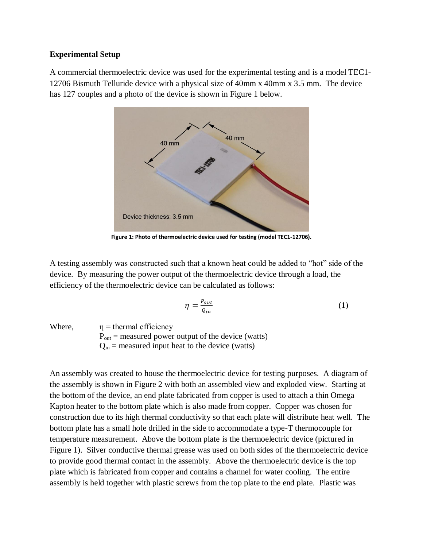## **Experimental Setup**

A commercial thermoelectric device was used for the experimental testing and is a model TEC1- 12706 Bismuth Telluride device with a physical size of 40mm x 40mm x 3.5 mm. The device has 127 couples and a photo of the device is shown in Figure 1 below.



**Figure 1: Photo of thermoelectric device used for testing (model TEC1-12706).**

A testing assembly was constructed such that a known heat could be added to "hot" side of the device. By measuring the power output of the thermoelectric device through a load, the efficiency of the thermoelectric device can be calculated as follows:

$$
\eta = \frac{P_{out}}{Q_{in}}\tag{1}
$$

Where,  $\eta$  = thermal efficiency

 $P_{\text{out}}$  = measured power output of the device (watts)

 $Q_{in}$  = measured input heat to the device (watts)

An assembly was created to house the thermoelectric device for testing purposes. A diagram of the assembly is shown in Figure 2 with both an assembled view and exploded view. Starting at the bottom of the device, an end plate fabricated from copper is used to attach a thin Omega Kapton heater to the bottom plate which is also made from copper. Copper was chosen for construction due to its high thermal conductivity so that each plate will distribute heat well. The bottom plate has a small hole drilled in the side to accommodate a type-T thermocouple for temperature measurement. Above the bottom plate is the thermoelectric device (pictured in Figure 1). Silver conductive thermal grease was used on both sides of the thermoelectric device to provide good thermal contact in the assembly. Above the thermoelectric device is the top plate which is fabricated from copper and contains a channel for water cooling. The entire assembly is held together with plastic screws from the top plate to the end plate. Plastic was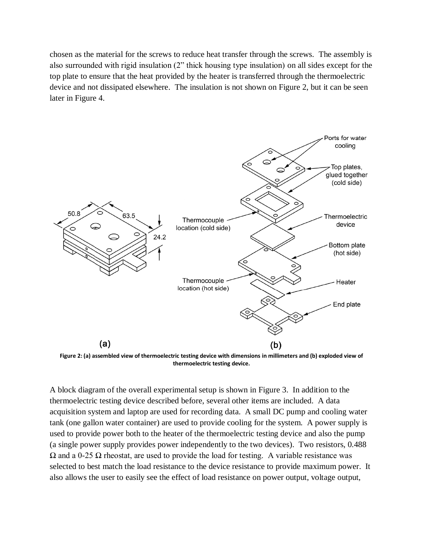chosen as the material for the screws to reduce heat transfer through the screws. The assembly is also surrounded with rigid insulation (2" thick housing type insulation) on all sides except for the top plate to ensure that the heat provided by the heater is transferred through the thermoelectric device and not dissipated elsewhere. The insulation is not shown on Figure 2, but it can be seen later in Figure 4.



**Figure 2: (a) assembled view of thermoelectric testing device with dimensions in millimeters and (b) exploded view of thermoelectric testing device.**

A block diagram of the overall experimental setup is shown in Figure 3. In addition to the thermoelectric testing device described before, several other items are included. A data acquisition system and laptop are used for recording data. A small DC pump and cooling water tank (one gallon water container) are used to provide cooling for the system. A power supply is used to provide power both to the heater of the thermoelectric testing device and also the pump (a single power supply provides power independently to the two devices). Two resistors, 0.488 Ω and a 0-25 Ω rheostat, are used to provide the load for testing. A variable resistance was selected to best match the load resistance to the device resistance to provide maximum power. It also allows the user to easily see the effect of load resistance on power output, voltage output,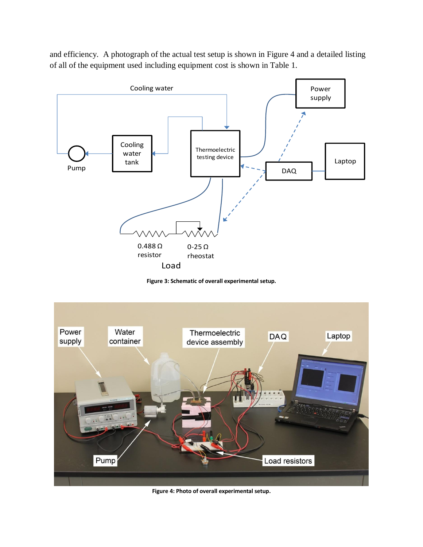and efficiency. A photograph of the actual test setup is shown in Figure 4 and a detailed listing of all of the equipment used including equipment cost is shown in Table 1.



**Figure 3: Schematic of overall experimental setup.**



**Figure 4: Photo of overall experimental setup.**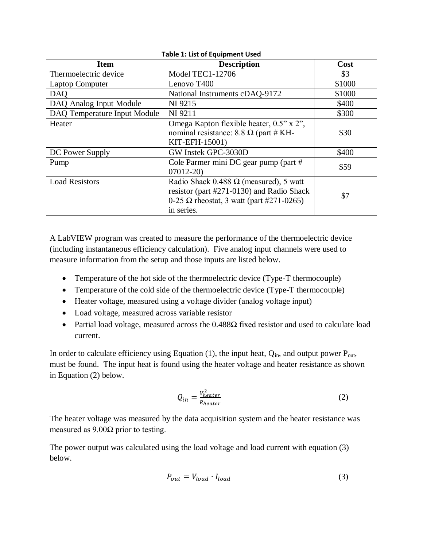| TURIC 1. LIST OF EQUIPMENT OSCU |                                                                                                                                                             |        |  |  |  |  |  |
|---------------------------------|-------------------------------------------------------------------------------------------------------------------------------------------------------------|--------|--|--|--|--|--|
| <b>Item</b>                     | <b>Description</b>                                                                                                                                          | Cost   |  |  |  |  |  |
| Thermoelectric device           | <b>Model TEC1-12706</b>                                                                                                                                     | \$3    |  |  |  |  |  |
| <b>Laptop Computer</b>          | Lenovo T400                                                                                                                                                 | \$1000 |  |  |  |  |  |
| <b>DAQ</b>                      | National Instruments cDAQ-9172                                                                                                                              | \$1000 |  |  |  |  |  |
| DAQ Analog Input Module         | NI 9215                                                                                                                                                     | \$400  |  |  |  |  |  |
| DAQ Temperature Input Module    | NI 9211                                                                                                                                                     | \$300  |  |  |  |  |  |
| Heater                          | Omega Kapton flexible heater, 0.5" x 2",<br>nominal resistance: 8.8 $\Omega$ (part # KH-<br>KIT-EFH-15001)                                                  | \$30   |  |  |  |  |  |
| DC Power Supply                 | GW Instek GPC-3030D                                                                                                                                         | \$400  |  |  |  |  |  |
| Pump                            | Cole Parmer mini DC gear pump (part #<br>$07012 - 20$                                                                                                       | \$59   |  |  |  |  |  |
| <b>Load Resistors</b>           | Radio Shack 0.488 $\Omega$ (measured), 5 watt<br>resistor (part #271-0130) and Radio Shack<br>0-25 $\Omega$ rheostat, 3 watt (part #271-0265)<br>in series. | \$7    |  |  |  |  |  |

**Table 1: List of Equipment Used**

A LabVIEW program was created to measure the performance of the thermoelectric device (including instantaneous efficiency calculation). Five analog input channels were used to measure information from the setup and those inputs are listed below.

- Temperature of the hot side of the thermoelectric device (Type-T thermocouple)
- Temperature of the cold side of the thermoelectric device (Type-T thermocouple)
- Heater voltage, measured using a voltage divider (analog voltage input)
- Load voltage, measured across variable resistor
- Partial load voltage, measured across the  $0.488\Omega$  fixed resistor and used to calculate load current.

In order to calculate efficiency using Equation (1), the input heat,  $Q_{in}$ , and output power  $P_{out}$ , must be found. The input heat is found using the heater voltage and heater resistance as shown in Equation (2) below.

$$
Q_{in} = \frac{V_{heater}^2}{R_{heater}} \tag{2}
$$

The heater voltage was measured by the data acquisition system and the heater resistance was measured as  $9.00\Omega$  prior to testing.

The power output was calculated using the load voltage and load current with equation (3) below.

$$
P_{out} = V_{load} \cdot I_{load} \tag{3}
$$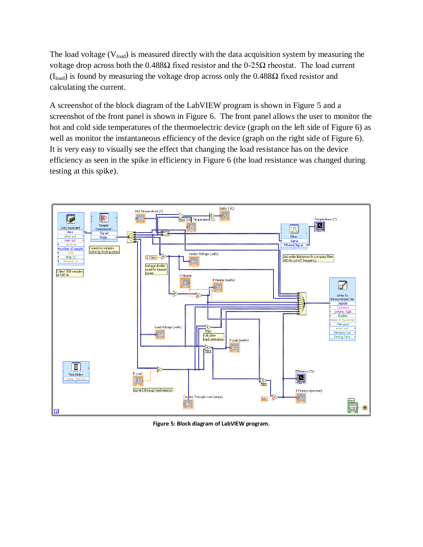The load voltage  $(V_{load})$  is measured directly with the data acquisition system by measuring the voltage drop across both the  $0.488Ω$  fixed resistor and the  $0-25Ω$  rheostat. The load current  $(I<sub>load</sub>)$  is found by measuring the voltage drop across only the 0.488Ω fixed resistor and calculating the current.

A screenshot of the block diagram of the LabVIEW program is shown in Figure 5 and a screenshot of the front panel is shown in Figure 6. The front panel allows the user to monitor the hot and cold side temperatures of the thermoelectric device (graph on the left side of Figure 6) as well as monitor the instantaneous efficiency of the device (graph on the right side of Figure 6). It is very easy to visually see the effect that changing the load resistance has on the device efficiency as seen in the spike in efficiency in Figure 6 (the load resistance was changed during testing at this spike).



**Figure 5: Block diagram of LabVIEW program.**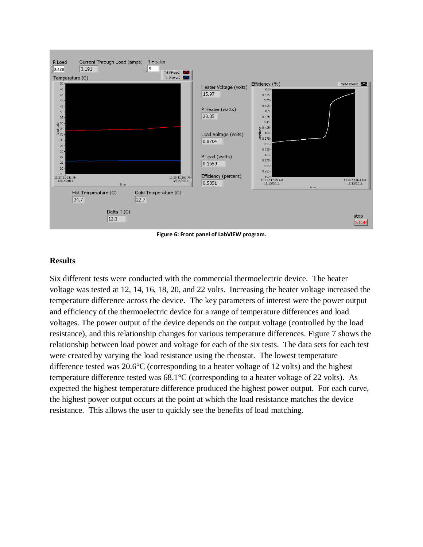

**Figure 6: Front panel of LabVIEW program.**

#### **Results**

Six different tests were conducted with the commercial thermoelectric device. The heater voltage was tested at 12, 14, 16, 18, 20, and 22 volts. Increasing the heater voltage increased the temperature difference across the device. The key parameters of interest were the power output and efficiency of the thermoelectric device for a range of temperature differences and load voltages. The power output of the device depends on the output voltage (controlled by the load resistance), and this relationship changes for various temperature differences. Figure 7 shows the relationship between load power and voltage for each of the six tests. The data sets for each test were created by varying the load resistance using the rheostat. The lowest temperature difference tested was 20.6°C (corresponding to a heater voltage of 12 volts) and the highest temperature difference tested was 68.1°C (corresponding to a heater voltage of 22 volts). As expected the highest temperature difference produced the highest power output. For each curve, the highest power output occurs at the point at which the load resistance matches the device resistance. This allows the user to quickly see the benefits of load matching.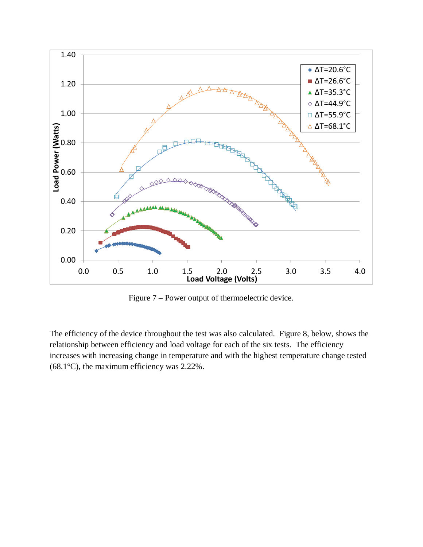

Figure 7 – Power output of thermoelectric device.

The efficiency of the device throughout the test was also calculated. Figure 8, below, shows the relationship between efficiency and load voltage for each of the six tests. The efficiency increases with increasing change in temperature and with the highest temperature change tested (68.1°C), the maximum efficiency was 2.22%.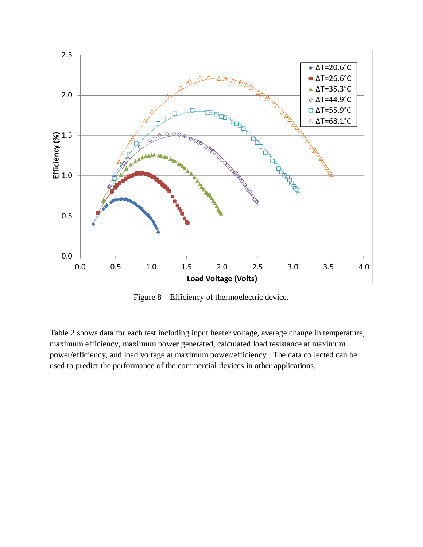

Figure 8 – Efficiency of thermoelectric device.

Table 2 shows data for each test including input heater voltage, average change in temperature, maximum efficiency, maximum power generated, calculated load resistance at maximum power/efficiency, and load voltage at maximum power/efficiency. The data collected can be used to predict the performance of the commercial devices in other applications.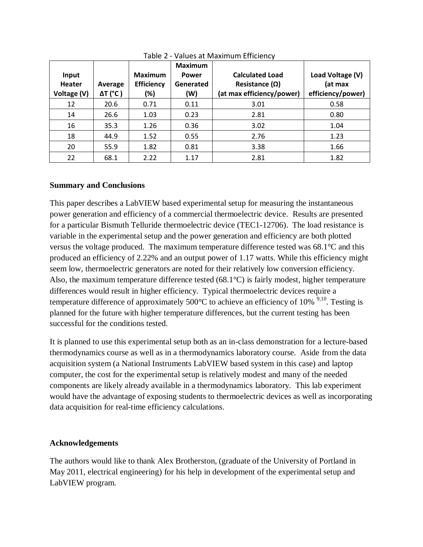| Input<br><b>Heater</b><br>Voltage (V) | Average<br>$\Delta T$ (°C) | <b>Maximum</b><br><b>Efficiency</b><br>(%) | <b>Maximum</b><br><b>Power</b><br>Generated<br>(W) | <b>Calculated Load</b><br>Resistance $(\Omega)$<br>(at max efficiency/power) | Load Voltage (V)<br>(at max<br>efficiency/power) |
|---------------------------------------|----------------------------|--------------------------------------------|----------------------------------------------------|------------------------------------------------------------------------------|--------------------------------------------------|
| 12                                    | 20.6                       | 0.71                                       | 0.11                                               | 3.01                                                                         | 0.58                                             |
| 14                                    | 26.6                       | 1.03                                       | 0.23                                               | 2.81                                                                         | 0.80                                             |
| 16                                    | 35.3                       | 1.26                                       | 0.36                                               | 3.02                                                                         | 1.04                                             |
| 18                                    | 44.9                       | 1.52                                       | 0.55                                               | 2.76                                                                         | 1.23                                             |
| 20                                    | 55.9                       | 1.82                                       | 0.81                                               | 3.38                                                                         | 1.66                                             |
| 22                                    | 68.1                       | 2.22                                       | 1.17                                               | 2.81                                                                         | 1.82                                             |

Table 2 - Values at Maximum Efficiency

## **Summary and Conclusions**

This paper describes a LabVIEW based experimental setup for measuring the instantaneous power generation and efficiency of a commercial thermoelectric device. Results are presented for a particular Bismuth Telluride thermoelectric device (TEC1-12706). The load resistance is variable in the experimental setup and the power generation and efficiency are both plotted versus the voltage produced. The maximum temperature difference tested was 68.1°C and this produced an efficiency of 2.22% and an output power of 1.17 watts. While this efficiency might seem low, thermoelectric generators are noted for their relatively low conversion efficiency. Also, the maximum temperature difference tested (68.1°C) is fairly modest, higher temperature differences would result in higher efficiency. Typical thermoelectric devices require a temperature difference of approximately 500 $^{\circ}$ C to achieve an efficiency of 10%  $^{9,10}$ . Testing is planned for the future with higher temperature differences, but the current testing has been successful for the conditions tested.

It is planned to use this experimental setup both as an in-class demonstration for a lecture-based thermodynamics course as well as in a thermodynamics laboratory course. Aside from the data acquisition system (a National Instruments LabVIEW based system in this case) and laptop computer, the cost for the experimental setup is relatively modest and many of the needed components are likely already available in a thermodynamics laboratory. This lab experiment would have the advantage of exposing students to thermoelectric devices as well as incorporating data acquisition for real-time efficiency calculations.

# **Acknowledgements**

The authors would like to thank Alex Brotherston, (graduate of the University of Portland in May 2011, electrical engineering) for his help in development of the experimental setup and LabVIEW program.